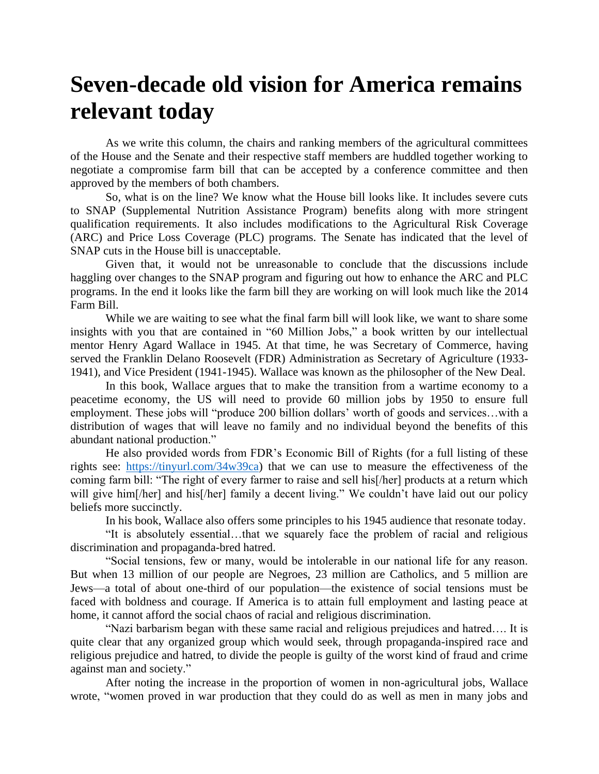## **Seven-decade old vision for America remains relevant today**

As we write this column, the chairs and ranking members of the agricultural committees of the House and the Senate and their respective staff members are huddled together working to negotiate a compromise farm bill that can be accepted by a conference committee and then approved by the members of both chambers.

So, what is on the line? We know what the House bill looks like. It includes severe cuts to SNAP (Supplemental Nutrition Assistance Program) benefits along with more stringent qualification requirements. It also includes modifications to the Agricultural Risk Coverage (ARC) and Price Loss Coverage (PLC) programs. The Senate has indicated that the level of SNAP cuts in the House bill is unacceptable.

Given that, it would not be unreasonable to conclude that the discussions include haggling over changes to the SNAP program and figuring out how to enhance the ARC and PLC programs. In the end it looks like the farm bill they are working on will look much like the 2014 Farm Bill.

While we are waiting to see what the final farm bill will look like, we want to share some insights with you that are contained in "60 Million Jobs," a book written by our intellectual mentor Henry Agard Wallace in 1945. At that time, he was Secretary of Commerce, having served the Franklin Delano Roosevelt (FDR) Administration as Secretary of Agriculture (1933- 1941), and Vice President (1941-1945). Wallace was known as the philosopher of the New Deal.

In this book, Wallace argues that to make the transition from a wartime economy to a peacetime economy, the US will need to provide 60 million jobs by 1950 to ensure full employment. These jobs will "produce 200 billion dollars' worth of goods and services…with a distribution of wages that will leave no family and no individual beyond the benefits of this abundant national production."

He also provided words from FDR's Economic Bill of Rights (for a full listing of these rights see: [https://tinyurl.com/34w39ca\)](https://tinyurl.com/34w39ca) that we can use to measure the effectiveness of the coming farm bill: "The right of every farmer to raise and sell his[/her] products at a return which will give him<sup>[/her]</sup> and his<sup>[/her]</sup> family a decent living." We couldn't have laid out our policy beliefs more succinctly.

In his book, Wallace also offers some principles to his 1945 audience that resonate today.

"It is absolutely essential…that we squarely face the problem of racial and religious discrimination and propaganda-bred hatred.

"Social tensions, few or many, would be intolerable in our national life for any reason. But when 13 million of our people are Negroes, 23 million are Catholics, and 5 million are Jews—a total of about one-third of our population—the existence of social tensions must be faced with boldness and courage. If America is to attain full employment and lasting peace at home, it cannot afford the social chaos of racial and religious discrimination.

"Nazi barbarism began with these same racial and religious prejudices and hatred…. It is quite clear that any organized group which would seek, through propaganda-inspired race and religious prejudice and hatred, to divide the people is guilty of the worst kind of fraud and crime against man and society."

After noting the increase in the proportion of women in non-agricultural jobs, Wallace wrote, "women proved in war production that they could do as well as men in many jobs and